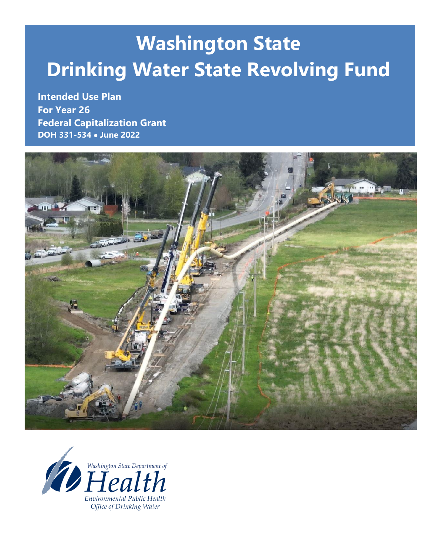# **Washington State Drinking Water State Revolving Fund**

**Intended Use Plan For Year 26 Federal Capitalization Grant DOH 331-534** • **June 2022**



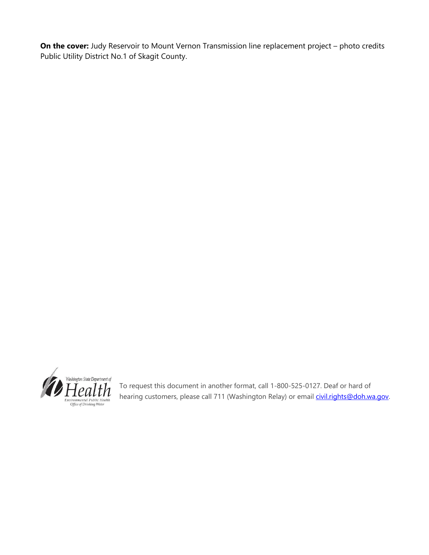**On the cover:** Judy Reservoir to Mount Vernon Transmission line replacement project – photo credits Public Utility District No.1 of Skagit County.



To request this document in another format, call 1-800-525-0127. Deaf or hard of hearing customers, please call 711 (Washington Relay) or email *civil.rights@doh.wa.gov.*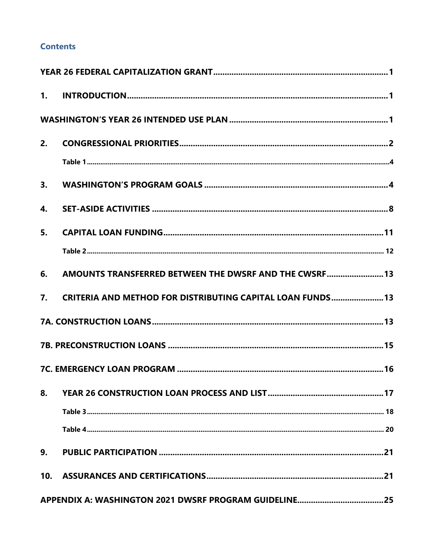### **Contents**

| 2.  |                                                            |  |
|-----|------------------------------------------------------------|--|
|     |                                                            |  |
| 3.  |                                                            |  |
| 4.  |                                                            |  |
| 5.  |                                                            |  |
|     |                                                            |  |
| 6.  | AMOUNTS TRANSFERRED BETWEEN THE DWSRF AND THE CWSRF 13     |  |
| 7.  | CRITERIA AND METHOD FOR DISTRIBUTING CAPITAL LOAN FUNDS 13 |  |
|     |                                                            |  |
|     |                                                            |  |
|     |                                                            |  |
| 8.  |                                                            |  |
|     |                                                            |  |
|     |                                                            |  |
| 9.  |                                                            |  |
| 10. |                                                            |  |
|     |                                                            |  |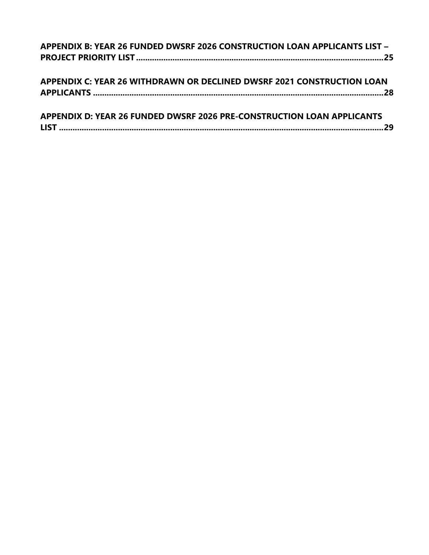| APPENDIX B: YEAR 26 FUNDED DWSRF 2026 CONSTRUCTION LOAN APPLICANTS LIST - |  |
|---------------------------------------------------------------------------|--|
|                                                                           |  |
|                                                                           |  |
| APPENDIX C: YEAR 26 WITHDRAWN OR DECLINED DWSRF 2021 CONSTRUCTION LOAN    |  |
|                                                                           |  |
|                                                                           |  |
| APPENDIX D: YEAR 26 FUNDED DWSRF 2026 PRE-CONSTRUCTION LOAN APPLICANTS    |  |
|                                                                           |  |
|                                                                           |  |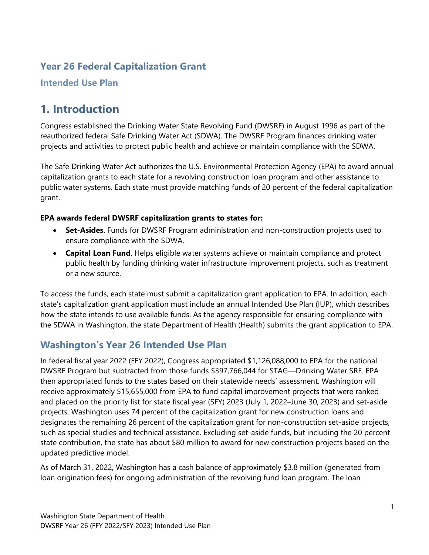## <span id="page-4-0"></span>**Year 26 Federal Capitalization Grant**

<span id="page-4-1"></span>**Intended Use Plan**

## **1. Introduction**

Congress established the Drinking Water State Revolving Fund (DWSRF) in August 1996 as part of the reauthorized federal Safe Drinking Water Act (SDWA). The DWSRF Program finances drinking water projects and activities to protect public health and achieve or maintain compliance with the SDWA.

The Safe Drinking Water Act authorizes the U.S. Environmental Protection Agency (EPA) to award annual capitalization grants to each state for a revolving construction loan program and other assistance to public water systems. Each state must provide matching funds of 20 percent of the federal capitalization grant.

#### **EPA awards federal DWSRF capitalization grants to states for:**

- **Set-Asides**. Funds for DWSRF Program administration and non-construction projects used to ensure compliance with the SDWA.
- **Capital Loan Fund**. Helps eligible water systems achieve or maintain compliance and protect public health by funding drinking water infrastructure improvement projects, such as treatment or a new source.

To access the funds, each state must submit a capitalization grant application to EPA. In addition, each state's capitalization grant application must include an annual Intended Use Plan (IUP), which describes how the state intends to use available funds. As the agency responsible for ensuring compliance with the SDWA in Washington, the state Department of Health (Health) submits the grant application to EPA.

## <span id="page-4-2"></span>**Washington's Year 26 Intended Use Plan**

In federal fiscal year 2022 (FFY 2022), Congress appropriated \$1,126,088,000 to EPA for the national DWSRF Program but subtracted from those funds \$397,766,044 for STAG—Drinking Water SRF. EPA then appropriated funds to the states based on their statewide needs' assessment. Washington will receive approximately \$15,655,000 from EPA to fund capital improvement projects that were ranked and placed on the priority list for state fiscal year (SFY) 2023 (July 1, 2022–June 30, 2023) and set-aside projects. Washington uses 74 percent of the capitalization grant for new construction loans and designates the remaining 26 percent of the capitalization grant for non-construction set-aside projects, such as special studies and technical assistance. Excluding set-aside funds, but including the 20 percent state contribution, the state has about \$80 million to award for new construction projects based on the updated predictive model.

As of March 31, 2022, Washington has a cash balance of approximately \$3.8 million (generated from loan origination fees) for ongoing administration of the revolving fund loan program. The loan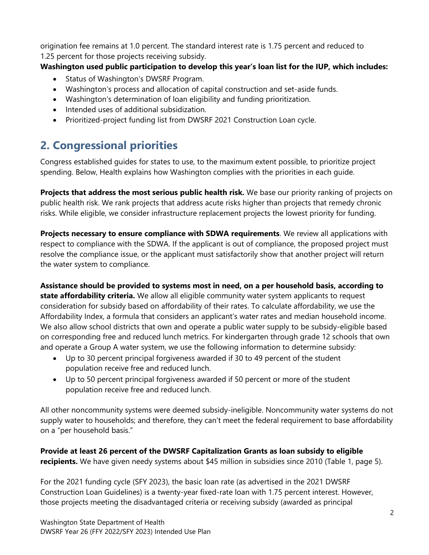origination fee remains at 1.0 percent. The standard interest rate is 1.75 percent and reduced to 1.25 percent for those projects receiving subsidy.

### **Washington used public participation to develop this year's loan list for the IUP, which includes:**

- Status of Washington's DWSRF Program.
- Washington's process and allocation of capital construction and set-aside funds.
- Washington's determination of loan eligibility and funding prioritization.
- Intended uses of additional subsidization.
- Prioritized-project funding list from DWSRF 2021 Construction Loan cycle.

## <span id="page-5-0"></span>**2. Congressional priorities**

Congress established guides for states to use, to the maximum extent possible, to prioritize project spending. Below, Health explains how Washington complies with the priorities in each guide.

**Projects that address the most serious public health risk.** We base our priority ranking of projects on public health risk. We rank projects that address acute risks higher than projects that remedy chronic risks. While eligible, we consider infrastructure replacement projects the lowest priority for funding.

**Projects necessary to ensure compliance with SDWA requirements**. We review all applications with respect to compliance with the SDWA. If the applicant is out of compliance, the proposed project must resolve the compliance issue, or the applicant must satisfactorily show that another project will return the water system to compliance.

**Assistance should be provided to systems most in need, on a per household basis, according to state affordability criteria.** We allow all eligible community water system applicants to request consideration for subsidy based on affordability of their rates. To calculate affordability, we use the Affordability Index, a formula that considers an applicant's water rates and median household income. We also allow school districts that own and operate a public water supply to be subsidy-eligible based on corresponding free and reduced lunch metrics. For kindergarten through grade 12 schools that own and operate a Group A water system, we use the following information to determine subsidy:

- Up to 30 percent principal forgiveness awarded if 30 to 49 percent of the student population receive free and reduced lunch.
- Up to 50 percent principal forgiveness awarded if 50 percent or more of the student population receive free and reduced lunch.

All other noncommunity systems were deemed subsidy-ineligible. Noncommunity water systems do not supply water to households; and therefore, they can't meet the federal requirement to base affordability on a "per household basis."

**Provide at least 26 percent of the DWSRF Capitalization Grants as loan subsidy to eligible recipients.** We have given needy systems about \$45 million in subsidies since 2010 (Table 1, page 5).

For the 2021 funding cycle (SFY 2023), the basic loan rate (as advertised in the 2021 DWSRF Construction Loan Guidelines) is a twenty-year fixed-rate loan with 1.75 percent interest. However, those projects meeting the disadvantaged criteria or receiving subsidy (awarded as principal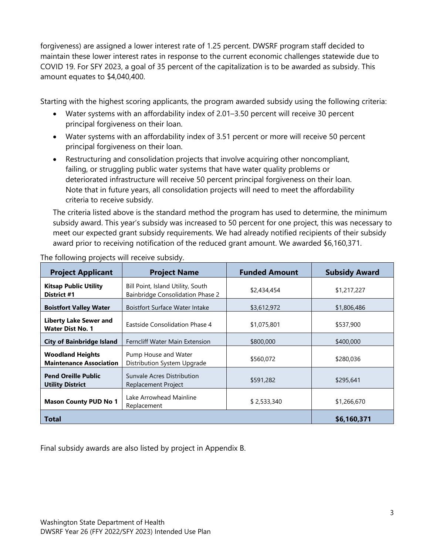forgiveness) are assigned a lower interest rate of 1.25 percent. DWSRF program staff decided to maintain these lower interest rates in response to the current economic challenges statewide due to COVID 19. For SFY 2023, a goal of 35 percent of the capitalization is to be awarded as subsidy. This amount equates to \$4,040,400.

Starting with the highest scoring applicants, the program awarded subsidy using the following criteria:

- Water systems with an affordability index of 2.01–3.50 percent will receive 30 percent principal forgiveness on their loan.
- Water systems with an affordability index of 3.51 percent or more will receive 50 percent principal forgiveness on their loan.
- Restructuring and consolidation projects that involve acquiring other noncompliant, failing, or struggling public water systems that have water quality problems or deteriorated infrastructure will receive 50 percent principal forgiveness on their loan. Note that in future years, all consolidation projects will need to meet the affordability criteria to receive subsidy.

The criteria listed above is the standard method the program has used to determine, the minimum subsidy award. This year's subsidy was increased to 50 percent for one project, this was necessary to meet our expected grant subsidy requirements. We had already notified recipients of their subsidy award prior to receiving notification of the reduced grant amount. We awarded \$6,160,371.

| <b>Project Applicant</b>                                  | <b>Project Name</b>                                                          | <b>Funded Amount</b> | <b>Subsidy Award</b> |
|-----------------------------------------------------------|------------------------------------------------------------------------------|----------------------|----------------------|
| <b>Kitsap Public Utility</b><br>District #1               | Bill Point, Island Utility, South<br><b>Bainbridge Consolidation Phase 2</b> | \$2,434,454          | \$1,217,227          |
| <b>Boistfort Valley Water</b>                             | <b>Boistfort Surface Water Intake</b>                                        | \$3,612,972          | \$1,806,486          |
| <b>Liberty Lake Sewer and</b><br><b>Water Dist No. 1</b>  | Eastside Consolidation Phase 4                                               | \$1,075,801          | \$537,900            |
| <b>City of Bainbridge Island</b>                          | Ferncliff Water Main Extension                                               | \$800,000            | \$400,000            |
| <b>Woodland Heights</b><br><b>Maintenance Association</b> | Pump House and Water<br>Distribution System Upgrade                          | \$560,072            | \$280,036            |
| <b>Pend Oreille Public</b><br><b>Utility District</b>     | Sunvale Acres Distribution<br>Replacement Project                            | \$591,282            | \$295,641            |
| <b>Mason County PUD No 1</b>                              | Lake Arrowhead Mainline<br>Replacement                                       | \$2,533,340          | \$1,266,670          |
| <b>Total</b>                                              |                                                                              |                      | \$6,160,371          |

The following projects will receive subsidy.

Final subsidy awards are also listed by project in Appendix B.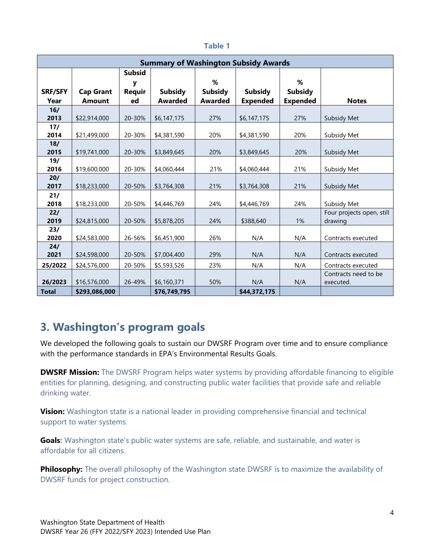<span id="page-7-0"></span>

|                |                  |                    | <b>Summary of Washington Subsidy Awards</b> |                |                 |                 |                           |
|----------------|------------------|--------------------|---------------------------------------------|----------------|-----------------|-----------------|---------------------------|
|                |                  | <b>Subsid</b><br>У |                                             | %              |                 | %               |                           |
| <b>SRF/SFY</b> | <b>Cap Grant</b> | <b>Requir</b>      | <b>Subsidy</b>                              | <b>Subsidy</b> | <b>Subsidy</b>  | <b>Subsidy</b>  |                           |
| Year           | <b>Amount</b>    | ed                 | <b>Awarded</b>                              | <b>Awarded</b> | <b>Expended</b> | <b>Expended</b> | <b>Notes</b>              |
| 16/            |                  |                    |                                             |                |                 |                 |                           |
| 2013           | \$22,914,000     | 20-30%             | \$6,147,175                                 | 27%            | \$6,147,175     | 27%             | Subsidy Met               |
| 17/            |                  |                    |                                             |                |                 |                 |                           |
| 2014           | \$21,499,000     | 20-30%             | \$4,381,590                                 | 20%            | \$4,381,590     | 20%             | Subsidy Met               |
| 18/            |                  |                    |                                             |                |                 |                 |                           |
| 2015           | \$19,741,000     | 20-30%             | \$3,849,645                                 | 20%            | \$3,849,645     | 20%             | Subsidy Met               |
| 19/            |                  |                    |                                             |                |                 |                 |                           |
| 2016           | \$19,600,000     | 20-30%             | \$4,060,444                                 | 21%            | \$4,060,444     | 21%             | Subsidy Met               |
| 20/            |                  |                    |                                             |                |                 |                 |                           |
| 2017           | \$18,233,000     | 20-50%             | \$3,764,308                                 | 21%            | \$3,764,308     | 21%             | Subsidy Met               |
| 21/            |                  |                    |                                             |                |                 |                 |                           |
| 2018           | \$18,233,000     | 20-50%             | \$4,446,769                                 | 24%            | \$4,446,769     | 24%             | Subsidy Met               |
| 22/            |                  |                    |                                             |                |                 |                 | Four projects open, still |
| 2019           | \$24,815,000     | 20-50%             | \$5,878,205                                 | 24%            | \$388,640       | 1%              | drawing                   |
| 23/            |                  |                    |                                             |                |                 |                 |                           |
| 2020           | \$24,583,000     | 26-56%             | \$6,451,900                                 | 26%            | N/A             | N/A             | Contracts executed        |
| 24/            |                  |                    |                                             |                |                 |                 |                           |
| 2021           | \$24,598,000     | 20-50%             | \$7,004,400                                 | 29%            | N/A             | N/A             | Contracts executed        |
| 25/2022        | \$24,576,000     | 20-50%             | \$5,593,526                                 | 23%            | N/A             | N/A             | Contracts executed        |
|                |                  |                    |                                             |                |                 |                 | Contracts need to be      |
| 26/2023        | \$16,576,000     | 26-49%             | \$6,160,371                                 | 50%            | N/A             | N/A             | executed.                 |
| <b>Total</b>   | \$293,086,000    |                    | \$76,749,795                                |                | \$44,372,175    |                 |                           |

#### **Table 1**

## <span id="page-7-1"></span>**3. Washington's program goals**

We developed the following goals to sustain our DWSRF Program over time and to ensure compliance with the performance standards in EPA's Environmental Results Goals.

**DWSRF Mission:** The DWSRF Program helps water systems by providing affordable financing to eligible entities for planning, designing, and constructing public water facilities that provide safe and reliable drinking water.

**Vision:** Washington state is a national leader in providing comprehensive financial and technical support to water systems.

**Goals:** Washington state's public water systems are safe, reliable, and sustainable, and water is affordable for all citizens.

**Philosophy:** The overall philosophy of the Washington state DWSRF is to maximize the availability of DWSRF funds for project construction.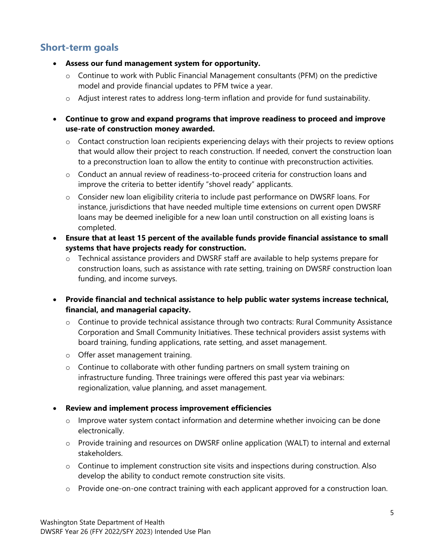### **Short-term goals**

- **Assess our fund management system for opportunity.**
	- o Continue to work with Public Financial Management consultants (PFM) on the predictive model and provide financial updates to PFM twice a year.
	- $\circ$  Adjust interest rates to address long-term inflation and provide for fund sustainability.
- **Continue to grow and expand programs that improve readiness to proceed and improve use-rate of construction money awarded.** 
	- o Contact construction loan recipients experiencing delays with their projects to review options that would allow their project to reach construction. If needed, convert the construction loan to a preconstruction loan to allow the entity to continue with preconstruction activities.
	- o Conduct an annual review of readiness-to-proceed criteria for construction loans and improve the criteria to better identify "shovel ready" applicants.
	- o Consider new loan eligibility criteria to include past performance on DWSRF loans. For instance, jurisdictions that have needed multiple time extensions on current open DWSRF loans may be deemed ineligible for a new loan until construction on all existing loans is completed.
- **Ensure that at least 15 percent of the available funds provide financial assistance to small systems that have projects ready for construction.** 
	- o Technical assistance providers and DWSRF staff are available to help systems prepare for construction loans, such as assistance with rate setting, training on DWSRF construction loan funding, and income surveys.
- **Provide financial and technical assistance to help public water systems increase technical, financial, and managerial capacity.** 
	- $\circ$  Continue to provide technical assistance through two contracts: Rural Community Assistance Corporation and Small Community Initiatives. These technical providers assist systems with board training, funding applications, rate setting, and asset management.
	- o Offer asset management training.
	- o Continue to collaborate with other funding partners on small system training on infrastructure funding. Three trainings were offered this past year via webinars: regionalization, value planning, and asset management.

#### • **Review and implement process improvement efficiencies**

- $\circ$  Improve water system contact information and determine whether invoicing can be done electronically.
- o Provide training and resources on DWSRF online application (WALT) to internal and external stakeholders.
- o Continue to implement construction site visits and inspections during construction. Also develop the ability to conduct remote construction site visits.
- o Provide one-on-one contract training with each applicant approved for a construction loan.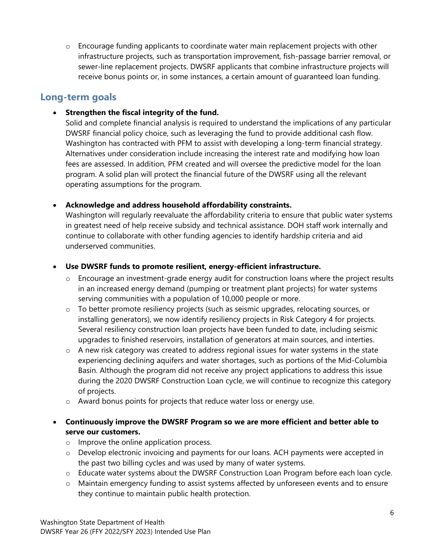o Encourage funding applicants to coordinate water main replacement projects with other infrastructure projects, such as transportation improvement, fish-passage barrier removal, or sewer-line replacement projects. DWSRF applicants that combine infrastructure projects will receive bonus points or, in some instances, a certain amount of guaranteed loan funding.

### **Long-term goals**

### • **Strengthen the fiscal integrity of the fund.**

Solid and complete financial analysis is required to understand the implications of any particular DWSRF financial policy choice, such as leveraging the fund to provide additional cash flow. Washington has contracted with PFM to assist with developing a long-term financial strategy. Alternatives under consideration include increasing the interest rate and modifying how loan fees are assessed. In addition, PFM created and will oversee the predictive model for the loan program. A solid plan will protect the financial future of the DWSRF using all the relevant operating assumptions for the program.

### • **Acknowledge and address household affordability constraints.**

Washington will regularly reevaluate the affordability criteria to ensure that public water systems in greatest need of help receive subsidy and technical assistance. DOH staff work internally and continue to collaborate with other funding agencies to identify hardship criteria and aid underserved communities.

### • **Use DWSRF funds to promote resilient, energy-efficient infrastructure.**

- $\circ$  Encourage an investment-grade energy audit for construction loans where the project results in an increased energy demand (pumping or treatment plant projects) for water systems serving communities with a population of 10,000 people or more.
- o To better promote resiliency projects (such as seismic upgrades, relocating sources, or installing generators), we now identify resiliency projects in Risk Category 4 for projects. Several resiliency construction loan projects have been funded to date, including seismic upgrades to finished reservoirs, installation of generators at main sources, and interties.
- $\circ$  A new risk category was created to address regional issues for water systems in the state experiencing declining aquifers and water shortages, such as portions of the Mid-Columbia Basin. Although the program did not receive any project applications to address this issue during the 2020 DWSRF Construction Loan cycle, we will continue to recognize this category of projects.
- o Award bonus points for projects that reduce water loss or energy use.

### • **Continuously improve the DWSRF Program so we are more efficient and better able to serve our customers.**

- o Improve the online application process.
- $\circ$  Develop electronic invoicing and payments for our loans. ACH payments were accepted in the past two billing cycles and was used by many of water systems.
- o Educate water systems about the DWSRF Construction Loan Program before each loan cycle.
- o Maintain emergency funding to assist systems affected by unforeseen events and to ensure they continue to maintain public health protection.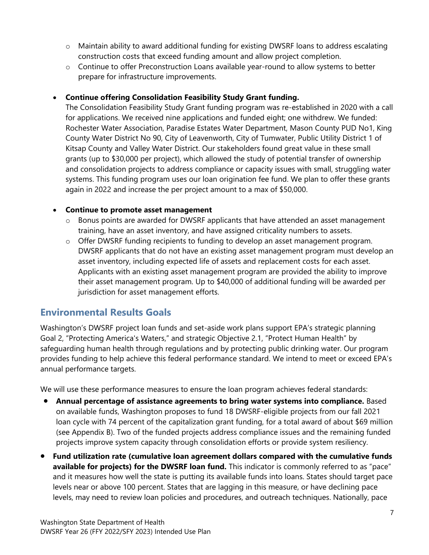- o Maintain ability to award additional funding for existing DWSRF loans to address escalating construction costs that exceed funding amount and allow project completion.
- $\circ$  Continue to offer Preconstruction Loans available year-round to allow systems to better prepare for infrastructure improvements.

### • **Continue offering Consolidation Feasibility Study Grant funding.**

The Consolidation Feasibility Study Grant funding program was re-established in 2020 with a call for applications. We received nine applications and funded eight; one withdrew. We funded: Rochester Water Association, Paradise Estates Water Department, Mason County PUD No1, King County Water District No 90, City of Leavenworth, City of Tumwater, Public Utility District 1 of Kitsap County and Valley Water District. Our stakeholders found great value in these small grants (up to \$30,000 per project), which allowed the study of potential transfer of ownership and consolidation projects to address compliance or capacity issues with small, struggling water systems. This funding program uses our loan origination fee fund. We plan to offer these grants again in 2022 and increase the per project amount to a max of \$50,000.

#### • **Continue to promote asset management**

- $\circ$  Bonus points are awarded for DWSRF applicants that have attended an asset management training, have an asset inventory, and have assigned criticality numbers to assets.
- o Offer DWSRF funding recipients to funding to develop an asset management program. DWSRF applicants that do not have an existing asset management program must develop an asset inventory, including expected life of assets and replacement costs for each asset. Applicants with an existing asset management program are provided the ability to improve their asset management program. Up to \$40,000 of additional funding will be awarded per jurisdiction for asset management efforts.

### **Environmental Results Goals**

Washington's DWSRF project loan funds and set-aside work plans support EPA's strategic planning Goal 2, "Protecting America's Waters," and strategic Objective 2.1, "Protect Human Health" by safeguarding human health through regulations and by protecting public drinking water. Our program provides funding to help achieve this federal performance standard. We intend to meet or exceed EPA's annual performance targets.

We will use these performance measures to ensure the loan program achieves federal standards:

- **Annual percentage of assistance agreements to bring water systems into compliance.** Based on available funds, Washington proposes to fund 18 DWSRF-eligible projects from our fall 2021 loan cycle with 74 percent of the capitalization grant funding, for a total award of about \$69 million (see Appendix B). Two of the funded projects address compliance issues and the remaining funded projects improve system capacity through consolidation efforts or provide system resiliency.
- **Fund utilization rate (cumulative loan agreement dollars compared with the cumulative funds available for projects) for the DWSRF loan fund.** This indicator is commonly referred to as "pace" and it measures how well the state is putting its available funds into loans. States should target pace levels near or above 100 percent. States that are lagging in this measure, or have declining pace levels, may need to review loan policies and procedures, and outreach techniques. Nationally, pace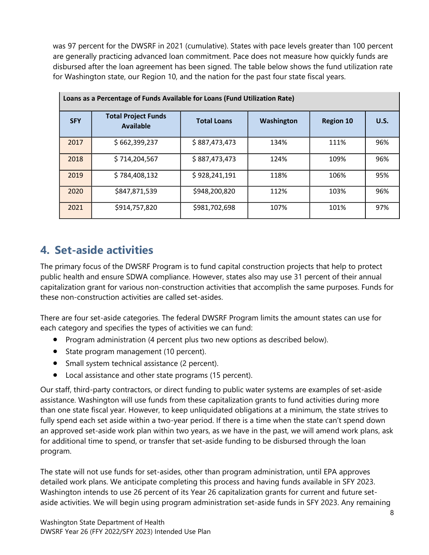was 97 percent for the DWSRF in 2021 (cumulative). States with pace levels greater than 100 percent are generally practicing advanced loan commitment. Pace does not measure how quickly funds are disbursed after the loan agreement has been signed. The table below shows the fund utilization rate for Washington state, our Region 10, and the nation for the past four state fiscal years.

| Loans as a Percentage of Funds Available for Loans (Fund Utilization Rate) |                                                |                    |            |                  |             |  |  |  |  |  |  |
|----------------------------------------------------------------------------|------------------------------------------------|--------------------|------------|------------------|-------------|--|--|--|--|--|--|
| <b>SFY</b>                                                                 | <b>Total Project Funds</b><br><b>Available</b> | <b>Total Loans</b> | Washington | <b>Region 10</b> | <b>U.S.</b> |  |  |  |  |  |  |
| 2017                                                                       | \$662,399,237                                  | \$887,473,473      | 134%       | 111%             | 96%         |  |  |  |  |  |  |
| 2018                                                                       | \$714,204,567                                  | \$887,473,473      | 124%       | 109%             | 96%         |  |  |  |  |  |  |
| 2019                                                                       | \$784,408,132                                  | \$928,241,191      | 118%       | 106%             | 95%         |  |  |  |  |  |  |
| 2020                                                                       | \$847,871,539                                  | \$948,200,820      | 112%       | 103%             | 96%         |  |  |  |  |  |  |
| 2021                                                                       | \$914,757,820                                  | \$981,702,698      | 107%       | 101%             | 97%         |  |  |  |  |  |  |

## <span id="page-11-0"></span>**4. Set-aside activities**

The primary focus of the DWSRF Program is to fund capital construction projects that help to protect public health and ensure SDWA compliance. However, states also may use 31 percent of their annual capitalization grant for various non-construction activities that accomplish the same purposes. Funds for these non-construction activities are called set-asides.

There are four set-aside categories. The federal DWSRF Program limits the amount states can use for each category and specifies the types of activities we can fund:

- Program administration (4 percent plus two new options as described below).
- State program management (10 percent).
- Small system technical assistance (2 percent).
- Local assistance and other state programs (15 percent).

Our staff, third-party contractors, or direct funding to public water systems are examples of set-aside assistance. Washington will use funds from these capitalization grants to fund activities during more than one state fiscal year. However, to keep unliquidated obligations at a minimum, the state strives to fully spend each set aside within a two-year period. If there is a time when the state can't spend down an approved set-aside work plan within two years, as we have in the past, we will amend work plans, ask for additional time to spend, or transfer that set-aside funding to be disbursed through the loan program.

The state will not use funds for set-asides, other than program administration, until EPA approves detailed work plans. We anticipate completing this process and having funds available in SFY 2023. Washington intends to use 26 percent of its Year 26 capitalization grants for current and future setaside activities. We will begin using program administration set-aside funds in SFY 2023. Any remaining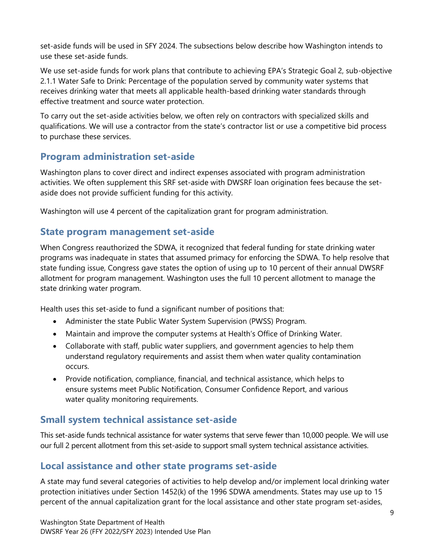set-aside funds will be used in SFY 2024. The subsections below describe how Washington intends to use these set-aside funds.

We use set-aside funds for work plans that contribute to achieving EPA's Strategic Goal 2, sub-objective 2.1.1 Water Safe to Drink: Percentage of the population served by community water systems that receives drinking water that meets all applicable health-based drinking water standards through effective treatment and source water protection.

To carry out the set-aside activities below, we often rely on contractors with specialized skills and qualifications. We will use a contractor from the state's contractor list or use a competitive bid process to purchase these services.

## **Program administration set-aside**

Washington plans to cover direct and indirect expenses associated with program administration activities. We often supplement this SRF set-aside with DWSRF loan origination fees because the setaside does not provide sufficient funding for this activity.

Washington will use 4 percent of the capitalization grant for program administration.

### **State program management set-aside**

When Congress reauthorized the SDWA, it recognized that federal funding for state drinking water programs was inadequate in states that assumed primacy for enforcing the SDWA. To help resolve that state funding issue, Congress gave states the option of using up to 10 percent of their annual DWSRF allotment for program management. Washington uses the full 10 percent allotment to manage the state drinking water program.

Health uses this set-aside to fund a significant number of positions that:

- Administer the state Public Water System Supervision (PWSS) Program.
- Maintain and improve the computer systems at Health's Office of Drinking Water.
- Collaborate with staff, public water suppliers, and government agencies to help them understand regulatory requirements and assist them when water quality contamination occurs.
- Provide notification, compliance, financial, and technical assistance, which helps to ensure systems meet Public Notification, Consumer Confidence Report, and various water quality monitoring requirements.

## **Small system technical assistance set-aside**

This set-aside funds technical assistance for water systems that serve fewer than 10,000 people. We will use our full 2 percent allotment from this set-aside to support small system technical assistance activities.

### **Local assistance and other state programs set-aside**

A state may fund several categories of activities to help develop and/or implement local drinking water protection initiatives under Section 1452(k) of the 1996 SDWA amendments. States may use up to 15 percent of the annual capitalization grant for the local assistance and other state program set-asides,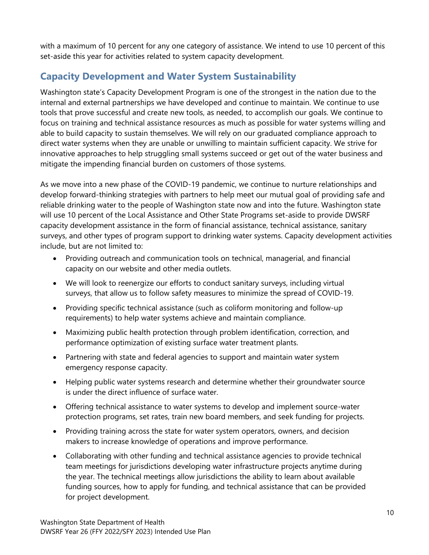with a maximum of 10 percent for any one category of assistance. We intend to use 10 percent of this set-aside this year for activities related to system capacity development.

## **Capacity Development and Water System Sustainability**

Washington state's Capacity Development Program is one of the strongest in the nation due to the internal and external partnerships we have developed and continue to maintain. We continue to use tools that prove successful and create new tools, as needed, to accomplish our goals. We continue to focus on training and technical assistance resources as much as possible for water systems willing and able to build capacity to sustain themselves. We will rely on our graduated compliance approach to direct water systems when they are unable or unwilling to maintain sufficient capacity. We strive for innovative approaches to help struggling small systems succeed or get out of the water business and mitigate the impending financial burden on customers of those systems.

As we move into a new phase of the COVID-19 pandemic, we continue to nurture relationships and develop forward-thinking strategies with partners to help meet our mutual goal of providing safe and reliable drinking water to the people of Washington state now and into the future. Washington state will use 10 percent of the Local Assistance and Other State Programs set-aside to provide DWSRF capacity development assistance in the form of financial assistance, technical assistance, sanitary surveys, and other types of program support to drinking water systems. Capacity development activities include, but are not limited to:

- Providing outreach and communication tools on technical, managerial, and financial capacity on our website and other media outlets.
- We will look to reenergize our efforts to conduct sanitary surveys, including virtual surveys, that allow us to follow safety measures to minimize the spread of COVID-19.
- Providing specific technical assistance (such as coliform monitoring and follow-up requirements) to help water systems achieve and maintain compliance.
- Maximizing public health protection through problem identification, correction, and performance optimization of existing surface water treatment plants.
- Partnering with state and federal agencies to support and maintain water system emergency response capacity.
- Helping public water systems research and determine whether their groundwater source is under the direct influence of surface water.
- Offering technical assistance to water systems to develop and implement source-water protection programs, set rates, train new board members, and seek funding for projects.
- Providing training across the state for water system operators, owners, and decision makers to increase knowledge of operations and improve performance.
- Collaborating with other funding and technical assistance agencies to provide technical team meetings for jurisdictions developing water infrastructure projects anytime during the year. The technical meetings allow jurisdictions the ability to learn about available funding sources, how to apply for funding, and technical assistance that can be provided for project development.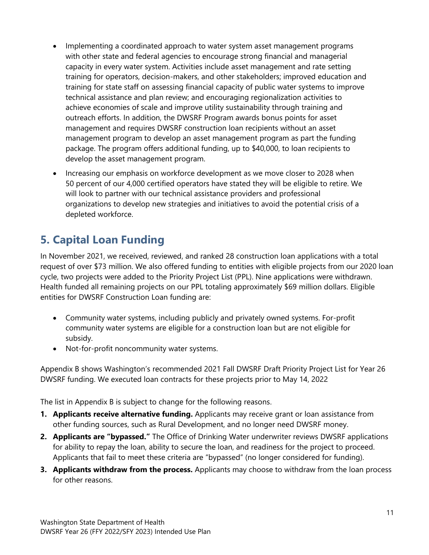- Implementing a coordinated approach to water system asset management programs with other state and federal agencies to encourage strong financial and managerial capacity in every water system. Activities include asset management and rate setting training for operators, decision-makers, and other stakeholders; improved education and training for state staff on assessing financial capacity of public water systems to improve technical assistance and plan review; and encouraging regionalization activities to achieve economies of scale and improve utility sustainability through training and outreach efforts. In addition, the DWSRF Program awards bonus points for asset management and requires DWSRF construction loan recipients without an asset management program to develop an asset management program as part the funding package. The program offers additional funding, up to \$40,000, to loan recipients to develop the asset management program.
- Increasing our emphasis on workforce development as we move closer to 2028 when 50 percent of our 4,000 certified operators have stated they will be eligible to retire. We will look to partner with our technical assistance providers and professional organizations to develop new strategies and initiatives to avoid the potential crisis of a depleted workforce.

## <span id="page-14-0"></span>**5. Capital Loan Funding**

In November 2021, we received, reviewed, and ranked 28 construction loan applications with a total request of over \$73 million. We also offered funding to entities with eligible projects from our 2020 loan cycle, two projects were added to the Priority Project List (PPL). Nine applications were withdrawn. Health funded all remaining projects on our PPL totaling approximately \$69 million dollars. Eligible entities for DWSRF Construction Loan funding are:

- Community water systems, including publicly and privately owned systems. For-profit community water systems are eligible for a construction loan but are not eligible for subsidy.
- Not-for-profit noncommunity water systems.

Appendix B shows Washington's recommended 2021 Fall DWSRF Draft Priority Project List for Year 26 DWSRF funding. We executed loan contracts for these projects prior to May 14, 2022

The list in Appendix B is subject to change for the following reasons.

- **1. Applicants receive alternative funding.** Applicants may receive grant or loan assistance from other funding sources, such as Rural Development, and no longer need DWSRF money.
- **2. Applicants are "bypassed."** The Office of Drinking Water underwriter reviews DWSRF applications for ability to repay the loan, ability to secure the loan, and readiness for the project to proceed. Applicants that fail to meet these criteria are "bypassed" (no longer considered for funding).
- **3. Applicants withdraw from the process.** Applicants may choose to withdraw from the loan process for other reasons.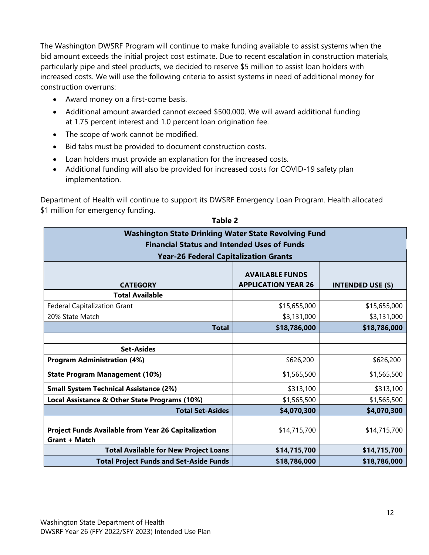The Washington DWSRF Program will continue to make funding available to assist systems when the bid amount exceeds the initial project cost estimate. Due to recent escalation in construction materials, particularly pipe and steel products, we decided to reserve \$5 million to assist loan holders with increased costs. We will use the following criteria to assist systems in need of additional money for construction overruns:

- Award money on a first-come basis.
- Additional amount awarded cannot exceed \$500,000. We will award additional funding at 1.75 percent interest and 1.0 percent loan origination fee.
- The scope of work cannot be modified.
- Bid tabs must be provided to document construction costs.
- Loan holders must provide an explanation for the increased costs.
- Additional funding will also be provided for increased costs for COVID-19 safety plan implementation.

Department of Health will continue to support its DWSRF Emergency Loan Program. Health allocated \$1 million for emergency funding.

<span id="page-15-0"></span>

| <b>Washington State Drinking Water State Revolving Fund</b><br><b>Financial Status and Intended Uses of Funds</b> |                                                      |                          |  |  |  |  |  |  |  |  |
|-------------------------------------------------------------------------------------------------------------------|------------------------------------------------------|--------------------------|--|--|--|--|--|--|--|--|
| <b>Year-26 Federal Capitalization Grants</b>                                                                      |                                                      |                          |  |  |  |  |  |  |  |  |
| <b>CATEGORY</b>                                                                                                   | <b>AVAILABLE FUNDS</b><br><b>APPLICATION YEAR 26</b> | <b>INTENDED USE (\$)</b> |  |  |  |  |  |  |  |  |
| <b>Total Available</b>                                                                                            |                                                      |                          |  |  |  |  |  |  |  |  |
| <b>Federal Capitalization Grant</b>                                                                               | \$15,655,000                                         | \$15,655,000             |  |  |  |  |  |  |  |  |
| 20% State Match                                                                                                   | \$3,131,000                                          | \$3,131,000              |  |  |  |  |  |  |  |  |
| <b>Total</b>                                                                                                      | \$18,786,000                                         | \$18,786,000             |  |  |  |  |  |  |  |  |
|                                                                                                                   |                                                      |                          |  |  |  |  |  |  |  |  |
| <b>Set-Asides</b>                                                                                                 |                                                      |                          |  |  |  |  |  |  |  |  |
| <b>Program Administration (4%)</b>                                                                                | \$626,200                                            | \$626,200                |  |  |  |  |  |  |  |  |
| <b>State Program Management (10%)</b>                                                                             | \$1,565,500                                          | \$1,565,500              |  |  |  |  |  |  |  |  |
| <b>Small System Technical Assistance (2%)</b>                                                                     | \$313,100                                            | \$313,100                |  |  |  |  |  |  |  |  |
| Local Assistance & Other State Programs (10%)                                                                     | \$1,565,500                                          | \$1,565,500              |  |  |  |  |  |  |  |  |
| <b>Total Set-Asides</b>                                                                                           | \$4,070,300                                          | \$4,070,300              |  |  |  |  |  |  |  |  |
| <b>Project Funds Available from Year 26 Capitalization</b><br><b>Grant + Match</b>                                | \$14,715,700                                         | \$14,715,700             |  |  |  |  |  |  |  |  |
| <b>Total Available for New Project Loans</b>                                                                      | \$14,715,700                                         | \$14,715,700             |  |  |  |  |  |  |  |  |
| <b>Total Project Funds and Set-Aside Funds</b>                                                                    | \$18,786,000                                         | \$18,786,000             |  |  |  |  |  |  |  |  |

**Table 2**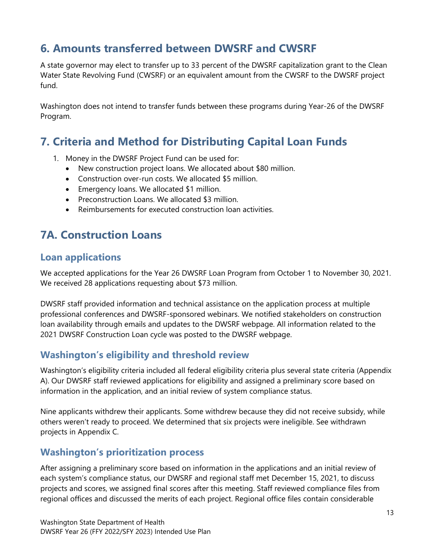## <span id="page-16-0"></span>**6. Amounts transferred between DWSRF and CWSRF**

A state governor may elect to transfer up to 33 percent of the DWSRF capitalization grant to the Clean Water State Revolving Fund (CWSRF) or an equivalent amount from the CWSRF to the DWSRF project fund.

Washington does not intend to transfer funds between these programs during Year-26 of the DWSRF Program.

## <span id="page-16-1"></span>**7. Criteria and Method for Distributing Capital Loan Funds**

- 1. Money in the DWSRF Project Fund can be used for:
	- New construction project loans. We allocated about \$80 million.
	- Construction over-run costs. We allocated \$5 million.
	- Emergency loans. We allocated \$1 million.
	- Preconstruction Loans. We allocated \$3 million.
	- Reimbursements for executed construction loan activities.

## <span id="page-16-2"></span>**7A. Construction Loans**

### **Loan applications**

We accepted applications for the Year 26 DWSRF Loan Program from October 1 to November 30, 2021. We received 28 applications requesting about \$73 million.

DWSRF staff provided information and technical assistance on the application process at multiple professional conferences and DWSRF-sponsored webinars. We notified stakeholders on construction loan availability through emails and updates to the DWSRF webpage. All information related to the 2021 DWSRF Construction Loan cycle was posted to the DWSRF webpage.

### **Washington's eligibility and threshold review**

Washington's eligibility criteria included all federal eligibility criteria plus several state criteria (Appendix A). Our DWSRF staff reviewed applications for eligibility and assigned a preliminary score based on information in the application, and an initial review of system compliance status.

Nine applicants withdrew their applicants. Some withdrew because they did not receive subsidy, while others weren't ready to proceed. We determined that six projects were ineligible. See withdrawn projects in Appendix C.

### **Washington's prioritization process**

After assigning a preliminary score based on information in the applications and an initial review of each system's compliance status, our DWSRF and regional staff met December 15, 2021, to discuss projects and scores, we assigned final scores after this meeting. Staff reviewed compliance files from regional offices and discussed the merits of each project. Regional office files contain considerable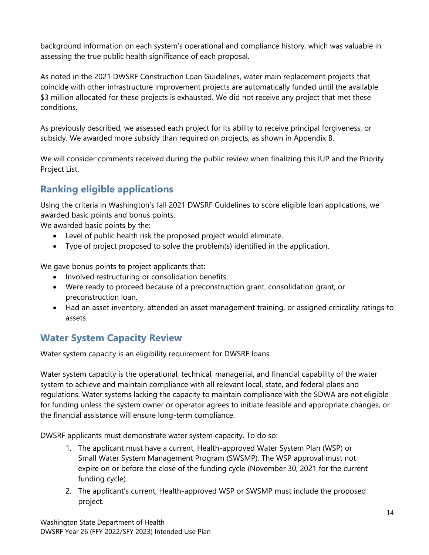background information on each system's operational and compliance history, which was valuable in assessing the true public health significance of each proposal.

As noted in the 2021 DWSRF Construction Loan Guidelines, water main replacement projects that coincide with other infrastructure improvement projects are automatically funded until the available \$3 million allocated for these projects is exhausted. We did not receive any project that met these conditions.

As previously described, we assessed each project for its ability to receive principal forgiveness, or subsidy. We awarded more subsidy than required on projects, as shown in Appendix B.

We will consider comments received during the public review when finalizing this IUP and the Priority Project List.

## **Ranking eligible applications**

Using the criteria in Washington's fall 2021 DWSRF Guidelines to score eligible loan applications, we awarded basic points and bonus points.

We awarded basic points by the:

- Level of public health risk the proposed project would eliminate.
- Type of project proposed to solve the problem(s) identified in the application.

We gave bonus points to project applicants that:

- Involved restructuring or consolidation benefits.
- Were ready to proceed because of a preconstruction grant, consolidation grant, or preconstruction loan.
- Had an asset inventory, attended an asset management training, or assigned criticality ratings to assets.

## **Water System Capacity Review**

Water system capacity is an eligibility requirement for DWSRF loans.

Water system capacity is the operational, technical, managerial, and financial capability of the water system to achieve and maintain compliance with all relevant local, state, and federal plans and regulations. Water systems lacking the capacity to maintain compliance with the SDWA are not eligible for funding unless the system owner or operator agrees to initiate feasible and appropriate changes, or the financial assistance will ensure long-term compliance.

DWSRF applicants must demonstrate water system capacity. To do so:

- 1. The applicant must have a current, Health-approved Water System Plan (WSP) or Small Water System Management Program (SWSMP). The WSP approval must not expire on or before the close of the funding cycle (November 30, 2021 for the current funding cycle).
- 2. The applicant's current, Health-approved WSP or SWSMP must include the proposed project.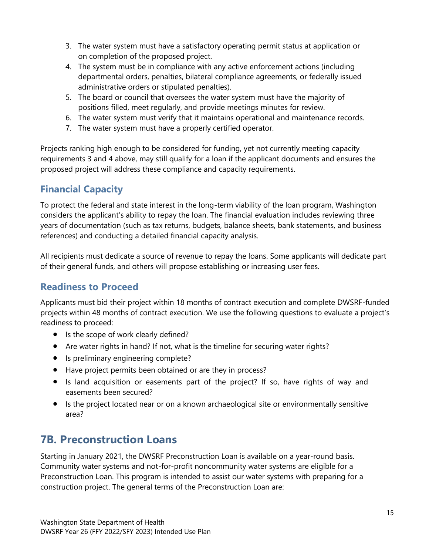- 3. The water system must have a satisfactory operating permit status at application or on completion of the proposed project.
- 4. The system must be in compliance with any active enforcement actions (including departmental orders, penalties, bilateral compliance agreements, or federally issued administrative orders or stipulated penalties).
- 5. The board or council that oversees the water system must have the majority of positions filled, meet regularly, and provide meetings minutes for review.
- 6. The water system must verify that it maintains operational and maintenance records.
- 7. The water system must have a properly certified operator.

Projects ranking high enough to be considered for funding, yet not currently meeting capacity requirements 3 and 4 above, may still qualify for a loan if the applicant documents and ensures the proposed project will address these compliance and capacity requirements.

## **Financial Capacity**

To protect the federal and state interest in the long-term viability of the loan program, Washington considers the applicant's ability to repay the loan. The financial evaluation includes reviewing three years of documentation (such as tax returns, budgets, balance sheets, bank statements, and business references) and conducting a detailed financial capacity analysis.

All recipients must dedicate a source of revenue to repay the loans. Some applicants will dedicate part of their general funds, and others will propose establishing or increasing user fees.

### **Readiness to Proceed**

Applicants must bid their project within 18 months of contract execution and complete DWSRF-funded projects within 48 months of contract execution. We use the following questions to evaluate a project's readiness to proceed:

- Is the scope of work clearly defined?
- Are water rights in hand? If not, what is the timeline for securing water rights?
- Is preliminary engineering complete?
- Have project permits been obtained or are they in process?
- Is land acquisition or easements part of the project? If so, have rights of way and easements been secured?
- Is the project located near or on a known archaeological site or environmentally sensitive area?

## <span id="page-18-0"></span>**7B. Preconstruction Loans**

Starting in January 2021, the DWSRF Preconstruction Loan is available on a year-round basis. Community water systems and not-for-profit noncommunity water systems are eligible for a Preconstruction Loan. This program is intended to assist our water systems with preparing for a construction project. The general terms of the Preconstruction Loan are: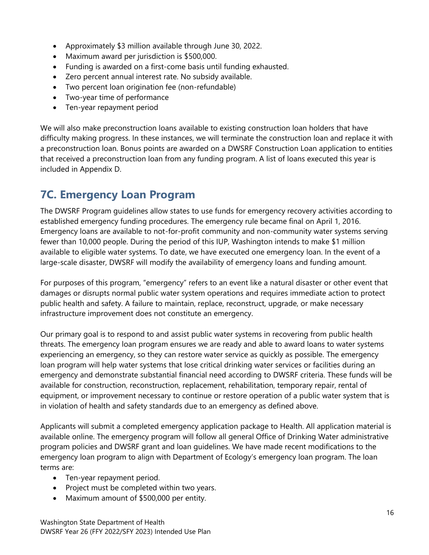- Approximately \$3 million available through June 30, 2022.
- Maximum award per jurisdiction is \$500,000.
- Funding is awarded on a first-come basis until funding exhausted.
- Zero percent annual interest rate. No subsidy available.
- Two percent loan origination fee (non-refundable)
- Two-year time of performance
- Ten-year repayment period

We will also make preconstruction loans available to existing construction loan holders that have difficulty making progress. In these instances, we will terminate the construction loan and replace it with a preconstruction loan. Bonus points are awarded on a DWSRF Construction Loan application to entities that received a preconstruction loan from any funding program. A list of loans executed this year is included in Appendix D.

## <span id="page-19-0"></span>**7C. Emergency Loan Program**

The DWSRF Program guidelines allow states to use funds for emergency recovery activities according to established emergency funding procedures. The emergency rule became final on April 1, 2016. Emergency loans are available to not-for-profit community and non-community water systems serving fewer than 10,000 people. During the period of this IUP, Washington intends to make \$1 million available to eligible water systems. To date, we have executed one emergency loan. In the event of a large-scale disaster, DWSRF will modify the availability of emergency loans and funding amount.

For purposes of this program, "emergency" refers to an event like a natural disaster or other event that damages or disrupts normal public water system operations and requires immediate action to protect public health and safety. A failure to maintain, replace, reconstruct, upgrade, or make necessary infrastructure improvement does not constitute an emergency.

Our primary goal is to respond to and assist public water systems in recovering from public health threats. The emergency loan program ensures we are ready and able to award loans to water systems experiencing an emergency, so they can restore water service as quickly as possible. The emergency loan program will help water systems that lose critical drinking water services or facilities during an emergency and demonstrate substantial financial need according to DWSRF criteria. These funds will be available for construction, reconstruction, replacement, rehabilitation, temporary repair, rental of equipment, or improvement necessary to continue or restore operation of a public water system that is in violation of health and safety standards due to an emergency as defined above.

Applicants will submit a completed emergency application package to Health. All application material is available online. The emergency program will follow all general Office of Drinking Water administrative program policies and DWSRF grant and loan guidelines. We have made recent modifications to the emergency loan program to align with Department of Ecology's emergency loan program. The loan terms are:

- Ten-year repayment period.
- Project must be completed within two years.
- Maximum amount of \$500,000 per entity.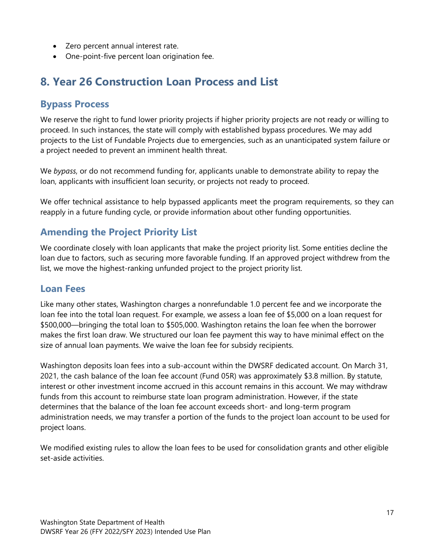- Zero percent annual interest rate.
- One-point-five percent loan origination fee.

## <span id="page-20-0"></span>**8. Year 26 Construction Loan Process and List**

### **Bypass Process**

We reserve the right to fund lower priority projects if higher priority projects are not ready or willing to proceed. In such instances, the state will comply with established bypass procedures. We may add projects to the List of Fundable Projects due to emergencies, such as an unanticipated system failure or a project needed to prevent an imminent health threat.

We *bypass*, or do not recommend funding for, applicants unable to demonstrate ability to repay the loan, applicants with insufficient loan security, or projects not ready to proceed.

We offer technical assistance to help bypassed applicants meet the program requirements, so they can reapply in a future funding cycle, or provide information about other funding opportunities.

## **Amending the Project Priority List**

We coordinate closely with loan applicants that make the project priority list. Some entities decline the loan due to factors, such as securing more favorable funding. If an approved project withdrew from the list, we move the highest-ranking unfunded project to the project priority list.

### **Loan Fees**

Like many other states, Washington charges a nonrefundable 1.0 percent fee and we incorporate the loan fee into the total loan request. For example, we assess a loan fee of \$5,000 on a loan request for \$500,000—bringing the total loan to \$505,000. Washington retains the loan fee when the borrower makes the first loan draw. We structured our loan fee payment this way to have minimal effect on the size of annual loan payments. We waive the loan fee for subsidy recipients.

Washington deposits loan fees into a sub-account within the DWSRF dedicated account. On March 31, 2021, the cash balance of the loan fee account (Fund 05R) was approximately \$3.8 million. By statute, interest or other investment income accrued in this account remains in this account. We may withdraw funds from this account to reimburse state loan program administration. However, if the state determines that the balance of the loan fee account exceeds short- and long-term program administration needs, we may transfer a portion of the funds to the project loan account to be used for project loans.

We modified existing rules to allow the loan fees to be used for consolidation grants and other eligible set-aside activities.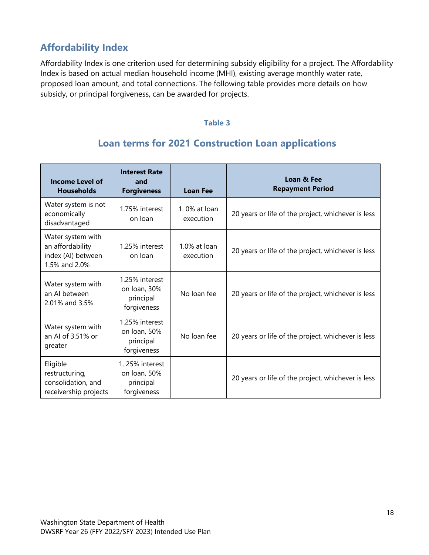## **Affordability Index**

<span id="page-21-0"></span>Affordability Index is one criterion used for determining subsidy eligibility for a project. The Affordability Index is based on actual median household income (MHI), existing average monthly water rate, proposed loan amount, and total connections. The following table provides more details on how subsidy, or principal forgiveness, can be awarded for projects.

#### **Table 3**

## **Loan terms for 2021 Construction Loan applications**

| <b>Income Level of</b><br><b>Households</b>                                  | <b>Interest Rate</b><br>and<br><b>Forgiveness</b>          | <b>Loan Fee</b>              | Loan & Fee<br><b>Repayment Period</b>              |
|------------------------------------------------------------------------------|------------------------------------------------------------|------------------------------|----------------------------------------------------|
| Water system is not<br>economically<br>disadvantaged                         | 1.75% interest<br>on loan                                  | $1.0\%$ at loan<br>execution | 20 years or life of the project, whichever is less |
| Water system with<br>an affordability<br>index (AI) between<br>1.5% and 2.0% | 1.25% interest<br>on loan                                  | 1.0% at loan<br>execution    | 20 years or life of the project, whichever is less |
| Water system with<br>an AI between<br>2.01% and 3.5%                         | 1.25% interest<br>on loan, 30%<br>principal<br>forgiveness | No loan fee                  | 20 years or life of the project, whichever is less |
| Water system with<br>an AI of 3.51% or<br>greater                            | 1.25% interest<br>on Ioan, 50%<br>principal<br>forgiveness | No loan fee                  | 20 years or life of the project, whichever is less |
| Eligible<br>restructuring,<br>consolidation, and<br>receivership projects    | 1.25% interest<br>on loan, 50%<br>principal<br>forgiveness |                              | 20 years or life of the project, whichever is less |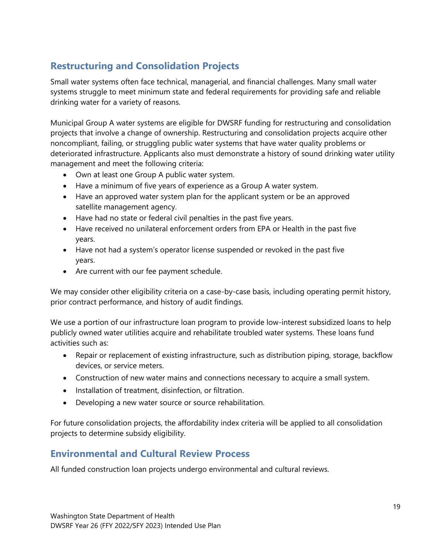## **Restructuring and Consolidation Projects**

Small water systems often face technical, managerial, and financial challenges. Many small water systems struggle to meet minimum state and federal requirements for providing safe and reliable drinking water for a variety of reasons.

Municipal Group A water systems are eligible for DWSRF funding for restructuring and consolidation projects that involve a change of ownership. Restructuring and consolidation projects acquire other noncompliant, failing, or struggling public water systems that have water quality problems or deteriorated infrastructure. Applicants also must demonstrate a history of sound drinking water utility management and meet the following criteria:

- Own at least one Group A public water system.
- Have a minimum of five years of experience as a Group A water system.
- Have an approved water system plan for the applicant system or be an approved satellite management agency.
- Have had no state or federal civil penalties in the past five years.
- Have received no unilateral enforcement orders from EPA or Health in the past five years.
- Have not had a system's operator license suspended or revoked in the past five years.
- Are current with our fee payment schedule.

We may consider other eligibility criteria on a case-by-case basis, including operating permit history, prior contract performance, and history of audit findings.

We use a portion of our infrastructure loan program to provide low-interest subsidized loans to help publicly owned water utilities acquire and rehabilitate troubled water systems. These loans fund activities such as:

- Repair or replacement of existing infrastructure, such as distribution piping, storage, backflow devices, or service meters.
- Construction of new water mains and connections necessary to acquire a small system.
- Installation of treatment, disinfection, or filtration.
- Developing a new water source or source rehabilitation.

For future consolidation projects, the affordability index criteria will be applied to all consolidation projects to determine subsidy eligibility.

### **Environmental and Cultural Review Process**

All funded construction loan projects undergo environmental and cultural reviews.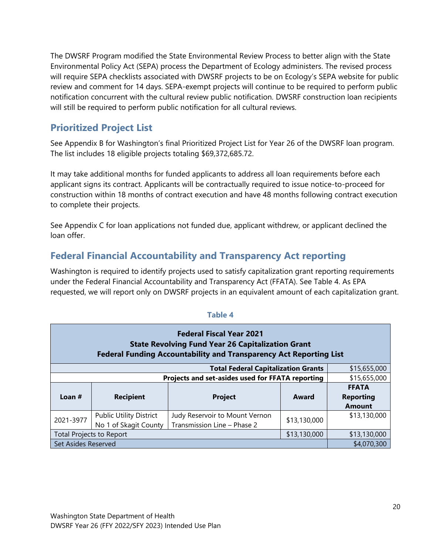The DWSRF Program modified the State Environmental Review Process to better align with the State Environmental Policy Act (SEPA) process the Department of Ecology administers. The revised process will require SEPA checklists associated with DWSRF projects to be on Ecology's SEPA website for public review and comment for 14 days. SEPA-exempt projects will continue to be required to perform public notification concurrent with the cultural review public notification. DWSRF construction loan recipients will still be required to perform public notification for all cultural reviews.

### **Prioritized Project List**

See Appendix B for Washington's final Prioritized Project List for Year 26 of the DWSRF loan program. The list includes 18 eligible projects totaling \$69,372,685.72.

It may take additional months for funded applicants to address all loan requirements before each applicant signs its contract. Applicants will be contractually required to issue notice-to-proceed for construction within 18 months of contract execution and have 48 months following contract execution to complete their projects.

See Appendix C for loan applications not funded due, applicant withdrew, or applicant declined the loan offer.

## **Federal Financial Accountability and Transparency Act reporting**

Washington is required to identify projects used to satisfy capitalization grant reporting requirements under the Federal Financial Accountability and Transparency Act (FFATA). See Table 4. As EPA requested, we will report only on DWSRF projects in an equivalent amount of each capitalization grant.

<span id="page-23-0"></span>

| <b>Federal Fiscal Year 2021</b><br><b>State Revolving Fund Year 26 Capitalization Grant</b><br><b>Federal Funding Accountability and Transparency Act Reporting List</b> |                                                            |                |       |                                                   |  |  |  |  |  |
|--------------------------------------------------------------------------------------------------------------------------------------------------------------------------|------------------------------------------------------------|----------------|-------|---------------------------------------------------|--|--|--|--|--|
|                                                                                                                                                                          | <b>Total Federal Capitalization Grants</b><br>\$15,655,000 |                |       |                                                   |  |  |  |  |  |
|                                                                                                                                                                          | Projects and set-asides used for FFATA reporting           | \$15,655,000   |       |                                                   |  |  |  |  |  |
| Loan $#$                                                                                                                                                                 | <b>Recipient</b>                                           | <b>Project</b> | Award | <b>FFATA</b><br><b>Reporting</b><br><b>Amount</b> |  |  |  |  |  |
| 2021-3977                                                                                                                                                                | \$13,130,000                                               | \$13,130,000   |       |                                                   |  |  |  |  |  |
| <b>Total Projects to Report</b>                                                                                                                                          | \$13,130,000                                               | \$13,130,000   |       |                                                   |  |  |  |  |  |
| Set Asides Reserved                                                                                                                                                      |                                                            |                |       | \$4,070,300                                       |  |  |  |  |  |

#### **Table 4**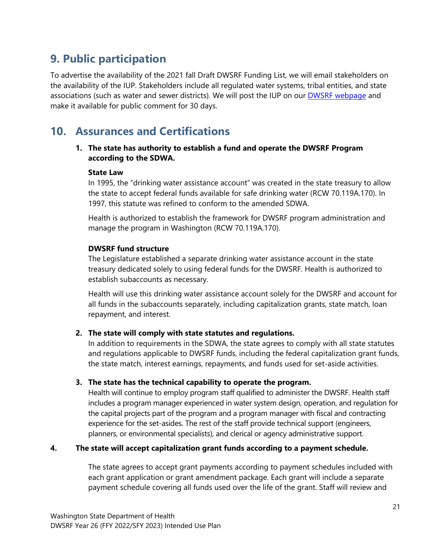## <span id="page-24-0"></span>**9. Public participation**

To advertise the availability of the 2021 fall Draft DWSRF Funding List, we will email stakeholders on the availability of the IUP. Stakeholders include all regulated water systems, tribal entities, and state associations (such as water and sewer districts). We will post the IUP on our **DWSRF webpage** and make it available for public comment for 30 days.

## <span id="page-24-1"></span>**10. Assurances and Certifications**

**1. The state has authority to establish a fund and operate the DWSRF Program according to the SDWA.**

#### **State Law**

In 1995, the "drinking water assistance account" was created in the state treasury to allow the state to accept federal funds available for safe drinking water (RCW 70.119A.170). In 1997, this statute was refined to conform to the amended SDWA.

Health is authorized to establish the framework for DWSRF program administration and manage the program in Washington (RCW 70.119A.170).

#### **DWSRF fund structure**

The Legislature established a separate drinking water assistance account in the state treasury dedicated solely to using federal funds for the DWSRF. Health is authorized to establish subaccounts as necessary.

Health will use this drinking water assistance account solely for the DWSRF and account for all funds in the subaccounts separately, including capitalization grants, state match, loan repayment, and interest.

#### **2. The state will comply with state statutes and regulations.**

In addition to requirements in the SDWA, the state agrees to comply with all state statutes and regulations applicable to DWSRF funds, including the federal capitalization grant funds, the state match, interest earnings, repayments, and funds used for set-aside activities.

#### **3. The state has the technical capability to operate the program.**

Health will continue to employ program staff qualified to administer the DWSRF. Health staff includes a program manager experienced in water system design, operation, and regulation for the capital projects part of the program and a program manager with fiscal and contracting experience for the set-asides. The rest of the staff provide technical support (engineers, planners, or environmental specialists), and clerical or agency administrative support.

#### **4. The state will accept capitalization grant funds according to a payment schedule.**

The state agrees to accept grant payments according to payment schedules included with each grant application or grant amendment package. Each grant will include a separate payment schedule covering all funds used over the life of the grant. Staff will review and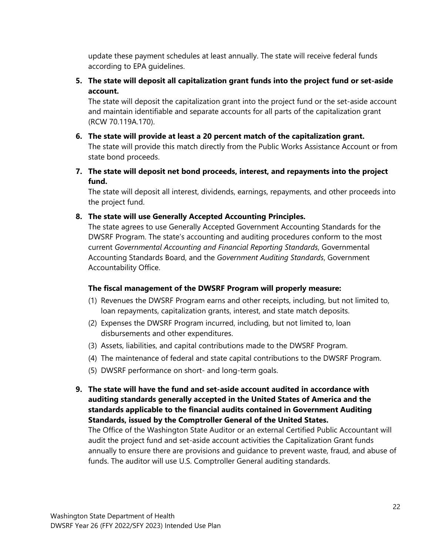update these payment schedules at least annually. The state will receive federal funds according to EPA guidelines.

**5. The state will deposit all capitalization grant funds into the project fund or set-aside account.**

The state will deposit the capitalization grant into the project fund or the set-aside account and maintain identifiable and separate accounts for all parts of the capitalization grant (RCW 70.119A.170).

- **6. The state will provide at least a 20 percent match of the capitalization grant.** The state will provide this match directly from the Public Works Assistance Account or from state bond proceeds.
- **7. The state will deposit net bond proceeds, interest, and repayments into the project fund.**

The state will deposit all interest, dividends, earnings, repayments, and other proceeds into the project fund.

**8. The state will use Generally Accepted Accounting Principles.**

The state agrees to use Generally Accepted Government Accounting Standards for the DWSRF Program. The state's accounting and auditing procedures conform to the most current *Governmental Accounting and Financial Reporting Standards*, Governmental Accounting Standards Board, and the *Government Auditing Standards*, Government Accountability Office.

#### **The fiscal management of the DWSRF Program will properly measure:**

- (1) Revenues the DWSRF Program earns and other receipts, including, but not limited to, loan repayments, capitalization grants, interest, and state match deposits.
- (2) Expenses the DWSRF Program incurred, including, but not limited to, loan disbursements and other expenditures.
- (3) Assets, liabilities, and capital contributions made to the DWSRF Program.
- (4) The maintenance of federal and state capital contributions to the DWSRF Program.
- (5) DWSRF performance on short- and long-term goals.
- **9. The state will have the fund and set-aside account audited in accordance with auditing standards generally accepted in the United States of America and the standards applicable to the financial audits contained in Government Auditing Standards, issued by the Comptroller General of the United States.**

The Office of the Washington State Auditor or an external Certified Public Accountant will audit the project fund and set-aside account activities the Capitalization Grant funds annually to ensure there are provisions and guidance to prevent waste, fraud, and abuse of funds. The auditor will use U.S. Comptroller General auditing standards.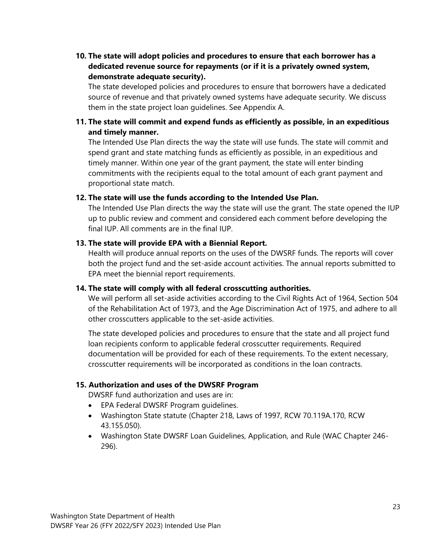**10. The state will adopt policies and procedures to ensure that each borrower has a dedicated revenue source for repayments (or if it is a privately owned system, demonstrate adequate security).**

The state developed policies and procedures to ensure that borrowers have a dedicated source of revenue and that privately owned systems have adequate security. We discuss them in the state project loan guidelines. See Appendix A.

### **11. The state will commit and expend funds as efficiently as possible, in an expeditious and timely manner.**

The Intended Use Plan directs the way the state will use funds. The state will commit and spend grant and state matching funds as efficiently as possible, in an expeditious and timely manner. Within one year of the grant payment, the state will enter binding commitments with the recipients equal to the total amount of each grant payment and proportional state match.

#### **12. The state will use the funds according to the Intended Use Plan.**

The Intended Use Plan directs the way the state will use the grant. The state opened the IUP up to public review and comment and considered each comment before developing the final IUP. All comments are in the final IUP.

#### **13. The state will provide EPA with a Biennial Report.**

Health will produce annual reports on the uses of the DWSRF funds. The reports will cover both the project fund and the set-aside account activities. The annual reports submitted to EPA meet the biennial report requirements.

#### **14. The state will comply with all federal crosscutting authorities.**

We will perform all set-aside activities according to the Civil Rights Act of 1964, Section 504 of the Rehabilitation Act of 1973, and the Age Discrimination Act of 1975, and adhere to all other crosscutters applicable to the set-aside activities.

The state developed policies and procedures to ensure that the state and all project fund loan recipients conform to applicable federal crosscutter requirements. Required documentation will be provided for each of these requirements. To the extent necessary, crosscutter requirements will be incorporated as conditions in the loan contracts.

#### **15. Authorization and uses of the DWSRF Program**

DWSRF fund authorization and uses are in:

- EPA Federal DWSRF Program guidelines.
- Washington State statute (Chapter 218, Laws of 1997, RCW 70.119A.170, RCW 43.155.050).
- Washington State DWSRF Loan Guidelines, Application, and Rule (WAC Chapter 246- 296).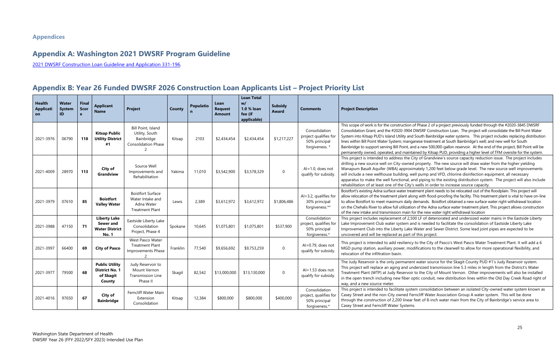on of Phase 2 of a project previously funded through the #2020-3845 DWSRF 004 DWSRF Construction Loan. The project will consolidate the Bill Point Water and South Bainbridge water systems. This project includes replacing distribution inganese treatment at South Bainbridge's well; and new well for South , and a new 500,000-gallon reservoir. At the end of the project, Bill Point will be intained by Kitsap PUD, providing a higher level of TFM oversite for the system. Ine City of Grandview's source capacity reduction issue. The project includes ned property. The new source will draw water from the higher yielding oximately 1,200 feet below grade level. The new source well improvements well pump and VFD, chlorine disinfection equipment, all necessary I, and piping to the existing distribution system. The project will also include ity's wells in order to increase source capacity.

treatment plant needs to be relocated out of the floodplain. This project will along with flood-proofing the facility. This treatment plant is vital to have on-line illy demands. Boistfort obtained a new surface water right withdrawal location ation of the Adna surface water treatment plant. This project allows construction in for the new water right withdrawal location

2,500 LF of deteriorated and undersized water mains in the Eastside Liberty Land is needed to facilitate the consolidation of Eastside Liberty Lake Ike Water and Sewer District. Some lead joint pipes are expected to be rt of this project.

ncy to the City of Pasco's West Pasco Water Treatment Plant. It will add a 6 modifications to the clearwell to allow for more operational flexibility, and

nent water source for the Skagit County PUD #1's Judy Reservoir system. undersized transmission line 5.3 miles in length from the District's Water voir to the City of Mount Vernon. Other improvements will also be installed er optic conduit, new distribution lines within the Old Day Creek Road right of

ystem consolidation between an isolated City-owned water system known as Ferncliff Water Association Group A water system. This will be done ear feet of 8-inch water main from the City of Bainbridge's service area to

## <span id="page-28-0"></span>**Appendix A: Washington 2021 DWSRF Program Guideline**

2021 DWSRF Construction Loan Guideline [and Application 331-196.](http://www.doh.wa.gov/Portals/1/Documents/Pubs/331-196.pdf)

## <span id="page-28-1"></span>**Appendix B: Year 26 Funded DWSRF 2026 Construction Loan Applicants List – Project Priority List**

| <b>Health</b><br><b>Applicati</b><br><b>on</b> | Water<br><b>System</b><br>ID | <b>Final</b><br><b>Scor</b><br>e | <b>Applicant</b><br><b>Name</b>                                           | <b>Project</b>                                                                              | <b>County</b> | <b>Populatio</b><br>n | Loan<br><b>Request</b><br><b>Amount</b> | <b>Loan Total</b><br>w/<br>1.0 % loan<br>fee (if<br>applicable) | <b>Subsidy</b><br><b>Award</b> | <b>Comments</b>                                                           | <b>Project Description</b>                                                                                                                                                                                                                                                                |
|------------------------------------------------|------------------------------|----------------------------------|---------------------------------------------------------------------------|---------------------------------------------------------------------------------------------|---------------|-----------------------|-----------------------------------------|-----------------------------------------------------------------|--------------------------------|---------------------------------------------------------------------------|-------------------------------------------------------------------------------------------------------------------------------------------------------------------------------------------------------------------------------------------------------------------------------------------|
| 2021-3976                                      | 06790                        | 118                              | <b>Kitsap Public</b><br><b>Utility District</b><br>#1                     | Bill Point, Island<br>Utility, South<br>Bainbridge<br>Consolidation Phase<br>$\overline{2}$ | Kitsap        | 2103                  | \$2,434,454                             | \$2,434,454                                                     | \$1,217,227                    | Consolidation<br>project qualifies for<br>50% principal<br>forgiveness. * | This scope of work is for the construction of<br>Consolidation Grant, and the #2020-3904 D<br>System into Kitsap PUD's Island Utility and S<br>lines within Bill Point Water System; mangar<br>Bainbridge to support serving Bill Point, and<br>permanently owned, operated, and maintair |
| 2021-4009                                      | 28970                        | 113                              | City of<br>Grandview                                                      | Source Well<br>Improvements and<br>Rehabilitation                                           | Yakima        | 11,010                | \$3,542,900                             | \$3,578,329                                                     | $\mathbf 0$                    | $Al=1.0$ , does not<br>qualify for subsidy.                               | This project is intended to address the Cit<br>drilling a new source well on City-owned p<br>Wanapum Basalt Aquifer (WBA) approxim<br>will include a new wellhouse building, wel<br>apparatus to make the well functional, and<br>rehabilitation of at least one of the City's v          |
| 2021-3979                                      | 07610                        | 85                               | <b>Boistfort</b><br><b>Valley Water</b>                                   | <b>Boistfort Surface</b><br>Water Intake and<br>Adna Water<br><b>Treatment Plant</b>        | Lewis         | 2,389                 | \$3,612,972                             | \$3,612,972                                                     | \$1,806,486                    | $Al = 3.2$ , qualifies for<br>30% principal<br>forgiveness.**             | Boistfort's existing Adna surface water treatr<br>allow relocation of the treatment plant alone<br>to allow Boistfort to meet maximum daily de<br>on the Chehalis River to allow full utilization<br>of the new intake and transmission main for                                          |
| 2021-3988                                      | 47150                        | 71                               | <b>Liberty Lake</b><br>Sewer and<br><b>Water District</b><br><b>No. 1</b> | Eastside Liberty Lake<br>Consolidation<br>Project, Phase 4                                  | Spokane       | 10,645                | \$1,075,801                             | \$1,075,801                                                     | \$537,900                      | Consolidation<br>project, qualifies for<br>50% principal<br>forgiveness.* | This project includes replacement of 2,500<br>Lake Improvement Club water system and<br>Improvement Club into the Liberty Lake W<br>uncovered and will be replaced as part of                                                                                                             |
| 2021-3997                                      | 66400                        | 69                               | <b>City of Pasco</b>                                                      | West Pasco Water<br><b>Treatment Plant</b><br>Improvements Phase<br>2                       | Franklin      | 77,540                | \$9,656,692                             | \$9,753,259                                                     | $\mathbf 0$                    | Al=0.79, does not<br>qualify for subsidy.                                 | This project is intended to add resiliency t<br>MGD pump station, auxiliary power, modi<br>relocation of the infiltration basin.                                                                                                                                                          |
| 2021-3977                                      | 79500                        | 68                               | <b>Public Utility</b><br><b>District No. 1</b><br>of Skagit<br>County     | Judy Reservoir to<br>Mount Vernon<br>Transmission Line<br>Phase II                          | Skagit        | 82,542                | \$13,000,000                            | \$13,130,000                                                    | $\mathbf 0$                    | AI=1.53 does not<br>qualify for subsidy.                                  | The Judy Reservoir is the only permanent<br>This project will replace an aging and und<br>Treatment Plant (WTP) at Judy Reservoir to<br>in the open trench including new fiber op<br>way, and a new source meter.                                                                         |
| 2021-4016                                      | 97650                        | 67                               | City of<br><b>Bainbridge</b>                                              | Ferncliff Water Main<br>Extension<br>Consolidation                                          | Kitsap        | 12,384                | \$800,000                               | \$800,000                                                       | \$400,000                      | Consolidation<br>project, qualifies for<br>50% principal<br>forgiveness.* | This project is intended to facilitate systen<br>Casey Street and the non-City owned Ferr<br>through the construction of 2,200 linear fe<br>Casey Street and Ferncliff Water Systems.                                                                                                     |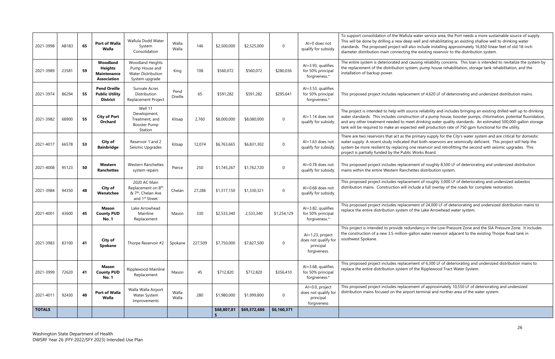lula water service area, the Port needs a more sustainable source of supply. eep well and rehabilitating an existing shallow well to drinking water l also include installing approximately 16,850 linear feet of old 18-inch ng the existing reservoir to the distribution system.

I causing reliability concerns. This loan is intended to revitalize the system by tystem, pump house rehabilitation, storage tank rehabilitation, and the

cement of 4,620 LF of deteriorating and undersized distribution mains.

source reliability and includes bringing an existing drilled well up to drinking ruction of a pump house, booster pumps, chlorination, potential fluoridation, meet drinking water quality standards. An estimated 500,000-gallon storage ected well production rate of 750 gpm functional for the utility.

he primary supply for the City's water system and are critical for domestic ed that both reservoirs are seismically deficient. This project will help the g one reservoir and retrofitting the second with seismic upgrades. This plic Works Board.

cement of roughly 8,500 LF of deteriorating and undersized distribution chettes distribution system.

cement of roughly 3,000 LF of deteriorating and undersized asbestos include a full overlay of the roads for complete restoration.

cement of 24,000 LF of deteriorating and undersized distribution mains to of the Lake Arrowhead water system.

edundancy in the Low-Pressure Zone and the SIA Pressure Zone. It includes 1-gallon water reservoir adjacent to the existing Thorpe Road tank in

cement of 6,300 LF of deteriorating and undersized distribution mains to of the Ripplewood Tract Water System.

cement of approximately 10,550 LF of deteriorating and undersized rport terminal and norther area of the water system.

| <b>TOTALS</b> |       |    |                                                                        |                                                                                                                |                 |         | \$68,807,81<br>5 | \$69,372,686 | \$6,160,371      |                                                                       |                                                                                                                                                                     |
|---------------|-------|----|------------------------------------------------------------------------|----------------------------------------------------------------------------------------------------------------|-----------------|---------|------------------|--------------|------------------|-----------------------------------------------------------------------|---------------------------------------------------------------------------------------------------------------------------------------------------------------------|
| 2021-4011     | 92430 | 40 | Port of Walla<br>Walla                                                 | Walla Walla Airport<br>Water System<br>Improvements                                                            | Walla<br>Walla  | 280     | \$1,980,000      | \$1,999,800  | $\boldsymbol{0}$ | Al=0.0, project<br>does not qualify for<br>principal<br>forgiveness   | This proposed project includes replad<br>distribution mains focused on the air                                                                                      |
| 2021-3999     | 72620 | 41 | <b>Mason</b><br><b>County PUD</b><br><b>No. 1</b>                      | Ripplewood Mainline<br>Replacement                                                                             | Mason           | 45      | \$712,820        | \$712,820    | \$356,410        | Al=3.68, qualifies<br>for 50% principal<br>forgiveness.*              | This proposed project includes replac<br>replace the entire distribution system                                                                                     |
| 2021-3983     | 83100 | 41 | City of<br>Spokane                                                     | Thorpe Reservoir #2                                                                                            | Spokane         | 227,509 | \$7,750,000      | \$7,827,500  | 0                | Al=1.23, project<br>does not qualify for<br>principal<br>forgiveness. | This project is intended to provide re<br>the construction of a new 3.5-million<br>southwest Spokane.                                                               |
| 2021-4001     | 43600 | 45 | Mason<br><b>County PUD</b><br><b>No. 1</b>                             | Lake Arrowhead<br>Mainline<br>Replacement                                                                      | Mason           | 330     | \$2,533,340      | 2,533,340    | \$1,254,129      | Al=3.82, qualifies<br>for 50% principal<br>forgiveness.*              | This proposed project includes replac<br>replace the entire distribution system                                                                                     |
| 2021-3984     | 94350 | 48 | City of<br>Wenatchee                                                   | 2020 AC Main<br>Replacement on 8 <sup>th</sup><br>& 7 <sup>th</sup> , Chelan Ave<br>and 1 <sup>st</sup> Street | Chelan          | 27,286  | \$1,317,150      | \$1,330,321  | 0                | Al=0.68 does not<br>qualify for subsidy.                              | This proposed project includes replac<br>distribution mains. Construction will                                                                                      |
| 2021-4008     | 95123 | 50 | Western<br><b>Ranchettes</b>                                           | Western Ranchettes<br>system repairs                                                                           | Pierce          | 250     | \$1,745,267      | \$1,762,720  | 0                | Al=0.78 does not<br>qualify for subsidy.                              | This proposed project includes replac<br>mains within the entire Western Rand                                                                                       |
| 2021-4017     | 66578 | 53 | City of<br><b>Bainbridge</b>                                           | Reservoir 1 and 2<br>Seismic Upgrades                                                                          | Kitsap          | 12,074  | \$6,763,665      | \$6,831,302  | 0                | $Al=1.63$ does not<br>qualify for subsidy.                            | There are two reservoirs that act as th<br>water supply. A recent study indicate<br>system be more resilient by replacinc<br>project is partially funded by the Pub |
| 2021-3982     | 68900 | 55 | <b>City of Port</b><br><b>Orchard</b>                                  | Well 11<br>Development,<br>Treatment, and<br><b>Booster Pump</b><br>Station                                    | Kitsap          | 2,760   | \$8,000,000      | \$8,080,000  | 0                | Al=1.14 does not<br>qualify for subsidy.                              | The project is intended to help with s<br>water standards. This includes consti<br>and any other treatment needed to n<br>tank will be required to make an expe     |
| 2021-3974     | 86294 | 55 | <b>Pend Oreille</b><br><b>Public Utility</b><br><b>District</b>        | Sunvale Acres<br>Distribution<br>Replacement Project                                                           | Pend<br>Oreille | 65      | \$591,282        | \$591,282    | \$295,641        | $Al = 3.53$ , qualifies<br>for 50% principal<br>forgiveness.*         | This proposed project includes replac                                                                                                                               |
| 2021-3989     | 23581 | 59 | Woodland<br><b>Heights</b><br><b>Maintenance</b><br><b>Association</b> | <b>Woodland Heights</b><br>Pump House and<br><b>Water Distribution</b><br>System upgrade                       | King            | 108     | \$560,072        | \$560,072    | \$280,036        | Al=3.93, qualifies<br>for 50% principal<br>forgiveness.*              | The entire system is deteriorated and<br>the replacement of the distribution sy<br>installation of backup power.                                                    |
| 2021-3998     | AB183 | 65 | Port of Walla<br>Walla                                                 | Wallula Dodd Water<br>System<br>Consolidation                                                                  | Walla<br>Walla  | 146     | \$2,500,000      | \$2,525,000  | 0                | $Al=0$ does not<br>qualify for subsidy.                               | To support consolidation of the Wall<br>This will be done by drilling a new de<br>standards. The proposed project will<br>diameter distribution main connectin      |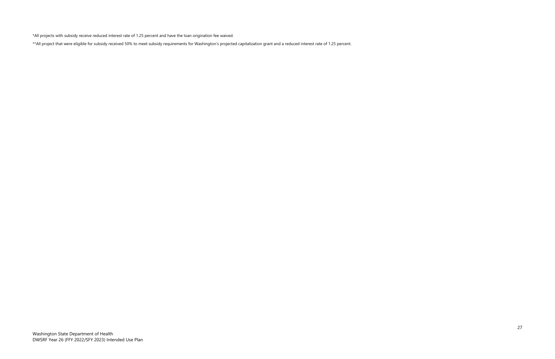\*All projects with subsidy receive reduced interest rate of 1.25 percent and have the loan origination fee waived.

\*\*All project that were eligible for subsidy received 50% to meet subsidy requirements for Washington's projected capitalization grant and a reduced interest rate of 1.25 percent.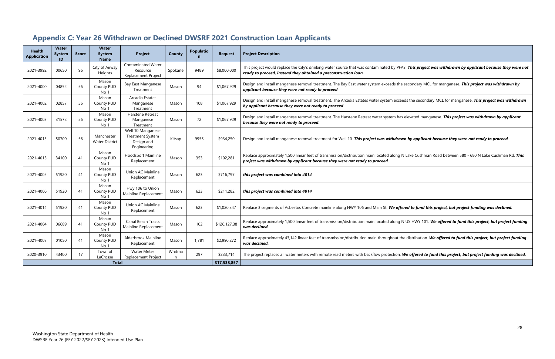This project was withdrawn by applicant because they were not

econdary MCL for manganese. **This project was withdrawn by** 

the secondary MCL for manganese. This project was withdrawn

levated manganese. **This project was withdrawn by applicant** 

by applicant because they were not ready to proceed.

Replace Cushman Road between 580 - 680 N Lake Cushman Rd. This

## <span id="page-31-0"></span>**Appendix C: Year 26 Withdrawn or Declined DWSRF 2021 Construction Loan Applicants**

| <b>Health</b><br><b>Application</b> | <b>Water</b><br><b>System</b><br>ID | <b>Score</b> | <b>Water</b><br><b>System</b><br><b>Name</b> | <b>Project</b>                                                            | County      | <b>Populatio</b><br>$\mathbf n$ | <b>Request</b> | <b>Project Description</b>                                                                                                                                                |
|-------------------------------------|-------------------------------------|--------------|----------------------------------------------|---------------------------------------------------------------------------|-------------|---------------------------------|----------------|---------------------------------------------------------------------------------------------------------------------------------------------------------------------------|
| 2021-3992                           | 00650                               | 96           | City of Airway<br>Heights                    | <b>Contaminated Water</b><br>Resource<br><b>Replacement Project</b>       | Spokane     | 9489                            | \$8,000,000    | This project would replace the City's drinking water source that was contaminated by PFAS.<br>ready to proceed, instead they obtained a preconstruction loan.             |
| 2021-4000                           | 04852                               | 56           | Mason<br>County PUD<br>No 1                  | Bay East Manganese<br>Treatment                                           | Mason       | 94                              | \$1,067,929    | Design and install manganese removal treatment. The Bay East water system exceeds the se<br>applicant because they were not ready to proceed.                             |
| 2021-4002                           | 02857                               | 56           | Mason<br>County PUD<br>No 1                  | Arcadia Estates<br>Manganese<br>Treatment                                 | Mason       | 108                             | \$1,067,929    | Design and install manganese removal treatment. The Arcadia Estates water system exceeds<br>by applicant because they were not ready to proceed.                          |
| 2021-4003                           | 31572                               | 56           | Mason<br>County PUD<br>No 1                  | Harstene Retreat<br>Manganese<br>Treatment                                | Mason       | 72                              | \$1,067,929    | Design and install manganese removal treatment. The Harstene Retreat water system has eld<br>because they were not ready to proceed.                                      |
| 2021-4013                           | 50700                               | 56           | Manchester<br><b>Water District</b>          | Well 10 Manganese<br><b>Treatment System</b><br>Design and<br>Engineering | Kitsap      | 9955                            | \$934,250      | Design and install manganese removal treatment for Well 10. This project was withdrawn                                                                                    |
| 2021-4015                           | 34100                               | 41           | Mason<br>County PUD<br>No 1                  | <b>Hoodsport Mainline</b><br>Replacement                                  | Mason       | 353                             | \$102,281      | Replace approximately 1,500 linear feet of transmission/distribution main located along N L<br>project was withdrawn by applicant because they were not ready to proceed. |
| 2021-4005                           | 51920                               | 41           | Mason<br>County PUD<br>No 1                  | Union AC Mainline<br>Replacement                                          | Mason       | 623                             | \$716,797      | this project was combined into 4014                                                                                                                                       |
| 2021-4006                           | 51920                               | 41           | Mason<br>County PUD<br>No 1                  | Hwy 106 to Union<br>Mainline Replacement                                  | Mason       | 623                             | \$211,282      | this project was combined into 4014                                                                                                                                       |
| 2021-4014                           | 51920                               | 41           | Mason<br>County PUD<br>No 1                  | Union AC Mainline<br>Replacement                                          | Mason       | 623                             | \$1,020,347    | Replace 3 segments of Asbestos Concrete mainline along HWY 106 and Main St. We offered                                                                                    |
| 2021-4004                           | 06689                               | 41           | Mason<br>County PUD<br>No 1                  | <b>Canal Beach Tracts</b><br>Mainline Replacement                         | Mason       | 102                             | \$126,127.38   | Replace approximately 1,500 linear feet of transmission/distribution main located along N U<br>was declined.                                                              |
| 2021-4007                           | 01050                               | 41           | Mason<br>County PUD<br>No 1                  | Alderbrook Mainline<br>Replacement                                        | Mason       | 1,781                           | \$2,990,272    | Replace approximately 43,142 linear feet of transmission/distribution main throughout the c<br>was declined.                                                              |
| 2020-3910                           | 43400                               | 17           | Town of<br>LaCrosse                          | <b>Water Meter</b><br>Replacement Project                                 | Whitma<br>n | 297                             | \$233,714      | The project replaces all water meters with remote read meters with backflow protection. We                                                                                |
|                                     |                                     |              | <b>Total</b>                                 |                                                                           |             |                                 | \$17,538,857   |                                                                                                                                                                           |

Replacement Mason <sup>623</sup> \$1,020,347 Replace 3 segments of Asbestos Concrete mainline along HWY 106 and Main St. *We offered to fund this project, but project funding was declined.*

US HWY 101. **We offered to fund this project, but project funding** 

distribution. We offered to fund this project, but project funding

.<br>*R* offered to fund this project, but project funding was declined.